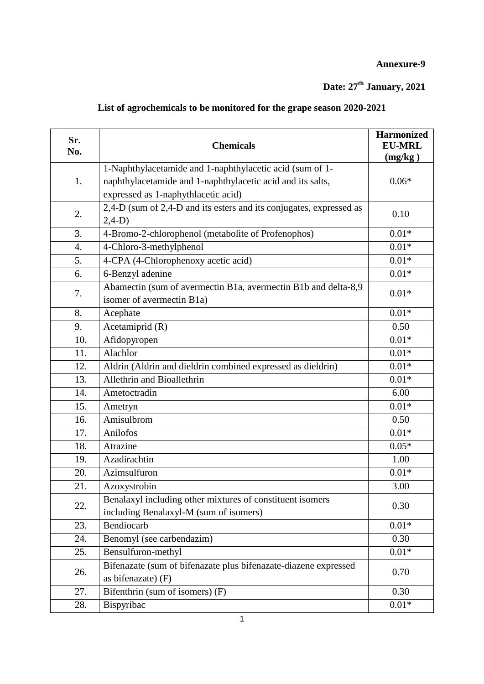## **Annexure-9**

## **Date: 27th January, 2021**

## **List of agrochemicals to be monitored for the grape season 2020-2021**

| Sr.<br>No. | <b>Chemicals</b>                                                    | <b>Harmonized</b><br><b>EU-MRL</b><br>(mg/kg) |
|------------|---------------------------------------------------------------------|-----------------------------------------------|
|            | 1-Naphthylacetamide and 1-naphthylacetic acid (sum of 1-            |                                               |
| 1.         | naphthylacetamide and 1-naphthylacetic acid and its salts,          | $0.06*$                                       |
|            | expressed as 1-naphythlacetic acid)                                 |                                               |
|            | 2,4-D (sum of 2,4-D and its esters and its conjugates, expressed as |                                               |
| 2.         | $2,4-D$ )                                                           | 0.10                                          |
| 3.         | 4-Bromo-2-chlorophenol (metabolite of Profenophos)                  | $0.01*$                                       |
| 4.         | 4-Chloro-3-methylphenol                                             | $0.01*$                                       |
| 5.         | 4-CPA (4-Chlorophenoxy acetic acid)                                 | $0.01*$                                       |
| 6.         | 6-Benzyl adenine                                                    | $0.01*$                                       |
|            | Abamectin (sum of avermectin B1a, avermectin B1b and delta-8,9      | $0.01*$                                       |
| 7.         | isomer of avermectin B1a)                                           |                                               |
| 8.         | Acephate                                                            | $0.01*$                                       |
| 9.         | Acetamiprid (R)                                                     | 0.50                                          |
| 10.        | Afidopyropen                                                        | $0.01*$                                       |
| 11.        | Alachlor                                                            | $0.01*$                                       |
| 12.        | Aldrin (Aldrin and dieldrin combined expressed as dieldrin)         | $0.01*$                                       |
| 13.        | Allethrin and Bioallethrin                                          | $0.01*$                                       |
| 14.        | Ametoctradin                                                        | 6.00                                          |
| 15.        | Ametryn                                                             | $0.01*$                                       |
| 16.        | Amisulbrom                                                          | 0.50                                          |
| 17.        | Anilofos                                                            | $0.01*$                                       |
| 18.        | Atrazine                                                            | $0.05*$                                       |
| 19.        | Azadirachtin                                                        | 1.00                                          |
| 20.        | Azimsulfuron                                                        | $0.01*$                                       |
| 21.        | Azoxystrobin                                                        | 3.00                                          |
| 22.        | Benalaxyl including other mixtures of constituent isomers           | 0.30                                          |
|            | including Benalaxyl-M (sum of isomers)                              |                                               |
| 23.        | Bendiocarb                                                          | $0.01*$                                       |
| 24.        | Benomyl (see carbendazim)                                           | 0.30                                          |
| 25.        | Bensulfuron-methyl                                                  | $0.01*$                                       |
| 26.        | Bifenazate (sum of bifenazate plus bifenazate-diazene expressed     | 0.70                                          |
|            | as bifenazate) (F)                                                  |                                               |
| 27.        | Bifenthrin (sum of isomers) (F)                                     | 0.30                                          |
| 28.        | Bispyribac                                                          | $0.01*$                                       |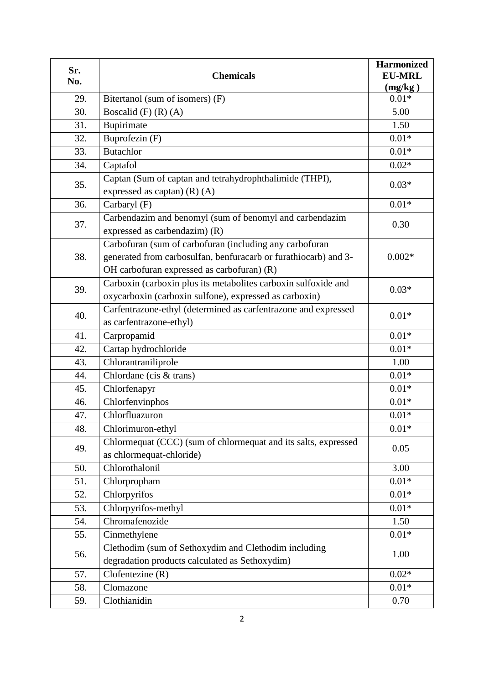| Sr. |                                                                                                                                                                          | <b>Harmonized</b>        |
|-----|--------------------------------------------------------------------------------------------------------------------------------------------------------------------------|--------------------------|
| No. | <b>Chemicals</b>                                                                                                                                                         | <b>EU-MRL</b><br>(mg/kg) |
| 29. | Bitertanol (sum of isomers) (F)                                                                                                                                          | $0.01*$                  |
| 30. | Boscalid $(F)$ $(R)$ $(A)$                                                                                                                                               | 5.00                     |
| 31. | Bupirimate                                                                                                                                                               | 1.50                     |
| 32. | Buprofezin (F)                                                                                                                                                           | $0.01*$                  |
| 33. | <b>Butachlor</b>                                                                                                                                                         | $0.01*$                  |
| 34. | Captafol                                                                                                                                                                 | $0.02*$                  |
| 35. | Captan (Sum of captan and tetrahydrophthalimide (THPI),<br>expressed as captan) $(R)$ $(A)$                                                                              | $0.03*$                  |
| 36. | Carbaryl (F)                                                                                                                                                             | $0.01*$                  |
| 37. | Carbendazim and benomyl (sum of benomyl and carbendazim<br>expressed as carbendazim) (R)                                                                                 | 0.30                     |
| 38. | Carbofuran (sum of carbofuran (including any carbofuran<br>generated from carbosulfan, benfuracarb or furathiocarb) and 3-<br>OH carbofuran expressed as carbofuran) (R) | $0.002*$                 |
| 39. | Carboxin (carboxin plus its metabolites carboxin sulfoxide and<br>oxycarboxin (carboxin sulfone), expressed as carboxin)                                                 | $0.03*$                  |
| 40. | Carfentrazone-ethyl (determined as carfentrazone and expressed<br>as carfentrazone-ethyl)                                                                                | $0.01*$                  |
| 41. | Carpropamid                                                                                                                                                              | $0.01*$                  |
| 42. | Cartap hydrochloride                                                                                                                                                     | $0.01*$                  |
| 43. | Chlorantraniliprole                                                                                                                                                      | 1.00                     |
| 44. | Chlordane (cis & trans)                                                                                                                                                  | $0.01*$                  |
| 45. | Chlorfenapyr                                                                                                                                                             | $0.01*$                  |
| 46. | Chlorfenvinphos                                                                                                                                                          | $0.01*$                  |
| 47. | Chlorfluazuron                                                                                                                                                           | $0.01*$                  |
| 48. | Chlorimuron-ethyl                                                                                                                                                        | $0.01*$                  |
| 49. | Chlormequat (CCC) (sum of chlormequat and its salts, expressed<br>as chlormequat-chloride)                                                                               | 0.05                     |
| 50. | Chlorothalonil                                                                                                                                                           | 3.00                     |
| 51. | Chlorpropham                                                                                                                                                             | $0.01*$                  |
| 52. | Chlorpyrifos                                                                                                                                                             | $0.01*$                  |
| 53. | Chlorpyrifos-methyl                                                                                                                                                      | $0.01*$                  |
| 54. | Chromafenozide                                                                                                                                                           | 1.50                     |
| 55. | Cinmethylene                                                                                                                                                             | $0.01*$                  |
| 56. | Clethodim (sum of Sethoxydim and Clethodim including<br>degradation products calculated as Sethoxydim)                                                                   | 1.00                     |
| 57. | $C$ lofentezine $(R)$                                                                                                                                                    | $0.02*$                  |
| 58. | Clomazone                                                                                                                                                                | $0.01*$                  |
| 59. | Clothianidin                                                                                                                                                             | 0.70                     |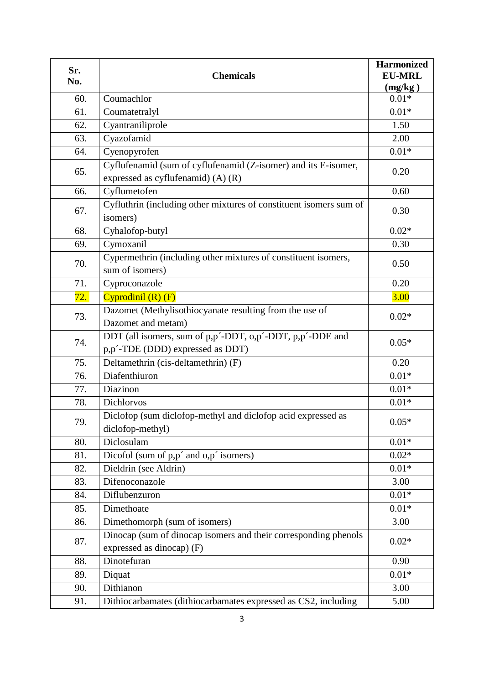| Sr.<br>No. | <b>Chemicals</b>                                                                                     | <b>Harmonized</b><br><b>EU-MRL</b><br>(mg/kg) |
|------------|------------------------------------------------------------------------------------------------------|-----------------------------------------------|
| 60.        | Coumachlor                                                                                           | $0.01*$                                       |
| 61.        | Coumatetralyl                                                                                        | $0.01*$                                       |
| 62.        | Cyantraniliprole                                                                                     | 1.50                                          |
| 63.        | Cyazofamid                                                                                           | 2.00                                          |
| 64.        | Cyenopyrofen                                                                                         | $0.01*$                                       |
| 65.        | Cyflufenamid (sum of cyflufenamid (Z-isomer) and its E-isomer,<br>expressed as cyflufenamid) (A) (R) | 0.20                                          |
| 66.        | Cyflumetofen                                                                                         | 0.60                                          |
| 67.        | Cyfluthrin (including other mixtures of constituent isomers sum of<br>isomers)                       | 0.30                                          |
| 68.        | Cyhalofop-butyl                                                                                      | $0.02*$                                       |
| 69.        | Cymoxanil                                                                                            | 0.30                                          |
| 70.        | Cypermethrin (including other mixtures of constituent isomers,<br>sum of isomers)                    | 0.50                                          |
| 71.        | Cyproconazole                                                                                        | 0.20                                          |
| 72.        | Cyprodinil $(R)$ $(F)$                                                                               | <b>3.00</b>                                   |
| 73.        | Dazomet (Methylisothiocyanate resulting from the use of<br>Dazomet and metam)                        | $0.02*$                                       |
| 74.        | DDT (all isomers, sum of p,p'-DDT, o,p'-DDT, p,p'-DDE and<br>p,p'-TDE (DDD) expressed as DDT)        | $0.05*$                                       |
| 75.        | Deltamethrin (cis-deltamethrin) (F)                                                                  | 0.20                                          |
| 76.        | Diafenthiuron                                                                                        | $0.01*$                                       |
| 77.        | Diazinon                                                                                             | $0.01\mathrm{*}$                              |
| 78.        | Dichlorvos                                                                                           | $0.01*$                                       |
| 79.        | Diclofop (sum diclofop-methyl and diclofop acid expressed as<br>diclofop-methyl)                     | $0.05*$                                       |
| 80.        | Diclosulam                                                                                           | $0.01*$                                       |
| 81.        | Dicofol (sum of p,p' and o,p' isomers)                                                               | $0.02*$                                       |
| 82.        | Dieldrin (see Aldrin)                                                                                | $0.01*$                                       |
| 83.        | Difenoconazole                                                                                       | 3.00                                          |
| 84.        | Diflubenzuron                                                                                        | $0.01*$                                       |
| 85.        | Dimethoate                                                                                           | $0.01*$                                       |
| 86.        | Dimethomorph (sum of isomers)                                                                        | 3.00                                          |
| 87.        | Dinocap (sum of dinocap isomers and their corresponding phenols<br>expressed as dinocap) (F)         | $0.02*$                                       |
| 88.        | Dinotefuran                                                                                          | 0.90                                          |
| 89.        | Diquat                                                                                               | $0.01*$                                       |
| 90.        | Dithianon                                                                                            | 3.00                                          |
| 91.        | Dithiocarbamates (dithiocarbamates expressed as CS2, including                                       | 5.00                                          |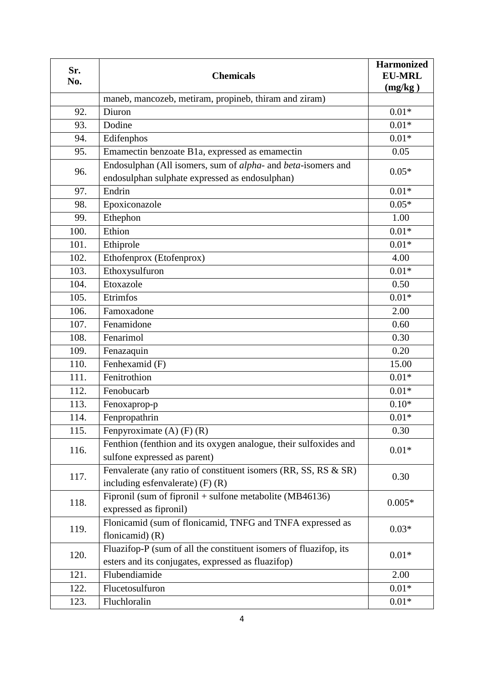| Sr.<br>No. | <b>Chemicals</b>                                                  | <b>Harmonized</b><br><b>EU-MRL</b><br>(mg/kg) |
|------------|-------------------------------------------------------------------|-----------------------------------------------|
|            | maneb, mancozeb, metiram, propineb, thiram and ziram)             |                                               |
| 92.        | Diuron                                                            | $0.01*$                                       |
| 93.        | Dodine                                                            | $0.01*$                                       |
| 94.        | Edifenphos                                                        | $0.01*$                                       |
| 95.        | Emamectin benzoate B1a, expressed as emamectin                    | 0.05                                          |
|            | Endosulphan (All isomers, sum of alpha- and beta-isomers and      |                                               |
| 96.        | endosulphan sulphate expressed as endosulphan)                    | $0.05*$                                       |
| 97.        | Endrin                                                            | $0.01*$                                       |
| 98.        | Epoxiconazole                                                     | $0.05*$                                       |
| 99.        | Ethephon                                                          | 1.00                                          |
| 100.       | Ethion                                                            | $0.01*$                                       |
| 101.       | Ethiprole                                                         | $0.01*$                                       |
| 102.       | Ethofenprox (Etofenprox)                                          | 4.00                                          |
| 103.       | Ethoxysulfuron                                                    | $0.01*$                                       |
| 104.       | Etoxazole                                                         | 0.50                                          |
| 105.       | Etrimfos                                                          | $0.01*$                                       |
| 106.       | Famoxadone                                                        | 2.00                                          |
| 107.       | Fenamidone                                                        | 0.60                                          |
| 108.       | Fenarimol                                                         | 0.30                                          |
| 109.       | Fenazaquin                                                        | 0.20                                          |
| 110.       | Fenhexamid (F)                                                    | 15.00                                         |
| 111.       | Fenitrothion                                                      | $0.01*$                                       |
| 112.       | Fenobucarb                                                        | $0.01*$                                       |
| 113.       | Fenoxaprop-p                                                      | $0.10*$                                       |
| 114.       | Fenpropathrin                                                     | $0.01*$                                       |
| 115.       | Fenpyroximate $(A)$ $(F)$ $(R)$                                   | 0.30                                          |
|            | Fenthion (fenthion and its oxygen analogue, their sulfoxides and  |                                               |
| 116.       | sulfone expressed as parent)                                      | $0.01*$                                       |
|            | Fenvalerate (any ratio of constituent isomers (RR, SS, RS & SR)   |                                               |
| 117.       | including esfenvalerate) $(F)$ $(R)$                              | 0.30                                          |
| 118.       | Fipronil (sum of fipronil + sulfone metabolite $(MB46136)$        |                                               |
|            | expressed as fipronil)                                            | $0.005*$                                      |
| 119.       | Flonicamid (sum of flonicamid, TNFG and TNFA expressed as         |                                               |
|            | flonicamid $(R)$                                                  | $0.03*$                                       |
|            | Fluazifop-P (sum of all the constituent isomers of fluazifop, its |                                               |
| 120.       | esters and its conjugates, expressed as fluazifop)                | $0.01*$                                       |
| 121.       | Flubendiamide                                                     | 2.00                                          |
| 122.       | Flucetosulfuron                                                   | $0.01*$                                       |
| 123.       | Fluchloralin                                                      | $0.01*$                                       |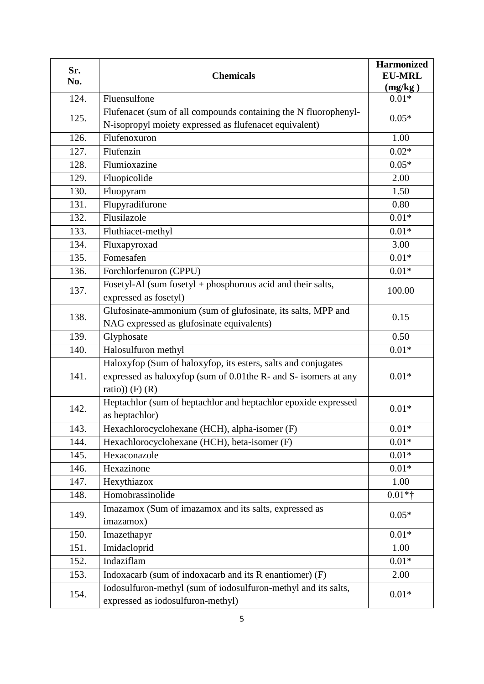| Sr.<br>No. | <b>Chemicals</b>                                                                                                                                        | <b>Harmonized</b><br><b>EU-MRL</b><br>(mg/kg) |
|------------|---------------------------------------------------------------------------------------------------------------------------------------------------------|-----------------------------------------------|
| 124.       | Fluensulfone                                                                                                                                            | $0.01*$                                       |
| 125.       | Flufenacet (sum of all compounds containing the N fluorophenyl-<br>N-isopropyl moiety expressed as flufenacet equivalent)                               | $0.05*$                                       |
| 126.       | Flufenoxuron                                                                                                                                            | 1.00                                          |
| 127.       | Flufenzin                                                                                                                                               | $0.02*$                                       |
| 128.       | Flumioxazine                                                                                                                                            | $0.05*$                                       |
| 129.       | Fluopicolide                                                                                                                                            | 2.00                                          |
| 130.       | Fluopyram                                                                                                                                               | 1.50                                          |
| 131.       | Flupyradifurone                                                                                                                                         | 0.80                                          |
| 132.       | Flusilazole                                                                                                                                             | $0.01*$                                       |
| 133.       | Fluthiacet-methyl                                                                                                                                       | $0.01*$                                       |
| 134.       | Fluxapyroxad                                                                                                                                            | 3.00                                          |
| 135.       | Fomesafen                                                                                                                                               | $0.01*$                                       |
| 136.       | Forchlorfenuron (CPPU)                                                                                                                                  | $0.01*$                                       |
| 137.       | Fosetyl-Al (sum fosetyl + phosphorous acid and their salts,<br>expressed as fosetyl)                                                                    | 100.00                                        |
| 138.       | Glufosinate-ammonium (sum of glufosinate, its salts, MPP and<br>NAG expressed as glufosinate equivalents)                                               | 0.15                                          |
| 139.       | Glyphosate                                                                                                                                              | 0.50                                          |
| 140.       | Halosulfuron methyl                                                                                                                                     | $0.01*$                                       |
| 141.       | Haloxyfop (Sum of haloxyfop, its esters, salts and conjugates<br>expressed as haloxyfop (sum of 0.01the R- and S- isomers at any<br>ratio)) $(F)$ $(R)$ | $0.01*$                                       |
| 142.       | Heptachlor (sum of heptachlor and heptachlor epoxide expressed<br>as heptachlor)                                                                        | $0.01*$                                       |
| 143.       | Hexachlorocyclohexane (HCH), alpha-isomer (F)                                                                                                           | $0.01*$                                       |
| 144.       | Hexachlorocyclohexane (HCH), beta-isomer (F)                                                                                                            | $0.01*$                                       |
| 145.       | Hexaconazole                                                                                                                                            | $0.01*$                                       |
| 146.       | Hexazinone                                                                                                                                              | $0.01*$                                       |
| 147.       | Hexythiazox                                                                                                                                             | 1.00                                          |
| 148.       | Homobrassinolide                                                                                                                                        | $0.01*$ †                                     |
| 149.       | Imazamox (Sum of imazamox and its salts, expressed as<br>imazamox)                                                                                      | $0.05*$                                       |
| 150.       | Imazethapyr                                                                                                                                             | $0.01*$                                       |
| 151.       | Imidacloprid                                                                                                                                            | 1.00                                          |
| 152.       | Indaziflam                                                                                                                                              | $0.01*$                                       |
| 153.       | Indoxacarb (sum of indoxacarb and its R enantiomer) (F)                                                                                                 | 2.00                                          |
| 154.       | Iodosulfuron-methyl (sum of iodosulfuron-methyl and its salts,<br>expressed as iodosulfuron-methyl)                                                     | $0.01*$                                       |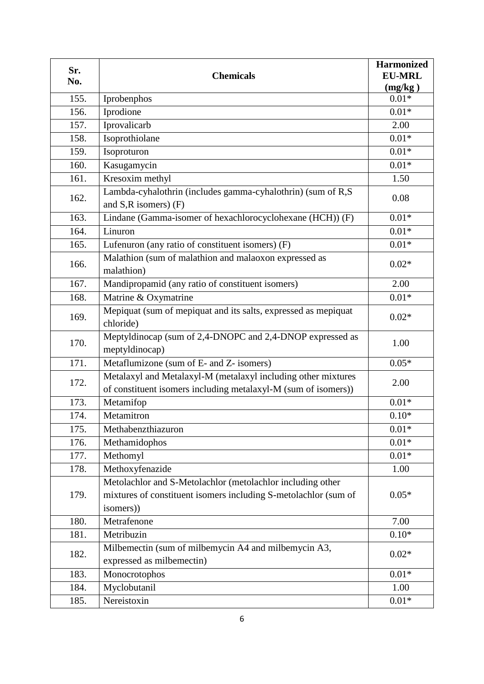| Sr.<br>No. | <b>Chemicals</b>                                                                                                                           | <b>Harmonized</b><br><b>EU-MRL</b> |
|------------|--------------------------------------------------------------------------------------------------------------------------------------------|------------------------------------|
| 155.       |                                                                                                                                            | (mg/kg)<br>$0.01*$                 |
| 156.       | Iprobenphos<br>Iprodione                                                                                                                   | $0.01*$                            |
|            |                                                                                                                                            | 2.00                               |
| 157.       | Iprovalicarb                                                                                                                               |                                    |
| 158.       | Isoprothiolane                                                                                                                             | $0.01*$                            |
| 159.       | Isoproturon                                                                                                                                | $0.01*$                            |
| 160.       | Kasugamycin                                                                                                                                | $0.01*$                            |
| 161.       | Kresoxim methyl                                                                                                                            | 1.50                               |
| 162.       | Lambda-cyhalothrin (includes gamma-cyhalothrin) (sum of R,S<br>and S,R isomers) (F)                                                        | 0.08                               |
| 163.       | Lindane (Gamma-isomer of hexachlorocyclohexane (HCH)) (F)                                                                                  | $0.01*$                            |
| 164.       | Linuron                                                                                                                                    | $0.01*$                            |
| 165.       | Lufenuron (any ratio of constituent isomers) (F)                                                                                           | $0.01*$                            |
| 166.       | Malathion (sum of malathion and malaoxon expressed as<br>malathion)                                                                        | $0.02*$                            |
| 167.       | Mandipropamid (any ratio of constituent isomers)                                                                                           | 2.00                               |
| 168.       | Matrine & Oxymatrine                                                                                                                       | $0.01*$                            |
| 169.       | Mepiquat (sum of mepiquat and its salts, expressed as mepiquat<br>chloride)                                                                | $0.02*$                            |
| 170.       | Meptyldinocap (sum of 2,4-DNOPC and 2,4-DNOP expressed as<br>meptyldinocap)                                                                | 1.00                               |
| 171.       | Metaflumizone (sum of E- and Z- isomers)                                                                                                   | $0.05*$                            |
| 172.       | Metalaxyl and Metalaxyl-M (metalaxyl including other mixtures<br>of constituent isomers including metalaxyl-M (sum of isomers))            | 2.00                               |
| 173.       | Metamifop                                                                                                                                  | $0.01*$                            |
| 174.       | Metamitron                                                                                                                                 | $0.10*$                            |
| 175.       | Methabenzthiazuron                                                                                                                         | $0.01*$                            |
| 176.       | Methamidophos                                                                                                                              | $0.01\mathrm{*}$                   |
| 177.       | Methomyl                                                                                                                                   | $0.01*$                            |
| 178.       | Methoxyfenazide                                                                                                                            | 1.00                               |
| 179.       | Metolachlor and S-Metolachlor (metolachlor including other<br>mixtures of constituent isomers including S-metolachlor (sum of<br>isomers)) | $0.05*$                            |
| 180.       | Metrafenone                                                                                                                                | 7.00                               |
| 181.       | Metribuzin                                                                                                                                 | $0.10*$                            |
| 182.       | Milbemectin (sum of milbemycin A4 and milbemycin A3,<br>expressed as milbemectin)                                                          | $0.02*$                            |
| 183.       | Monocrotophos                                                                                                                              | $0.01*$                            |
| 184.       | Myclobutanil                                                                                                                               | 1.00                               |
| 185.       | Nereistoxin                                                                                                                                | $0.01*$                            |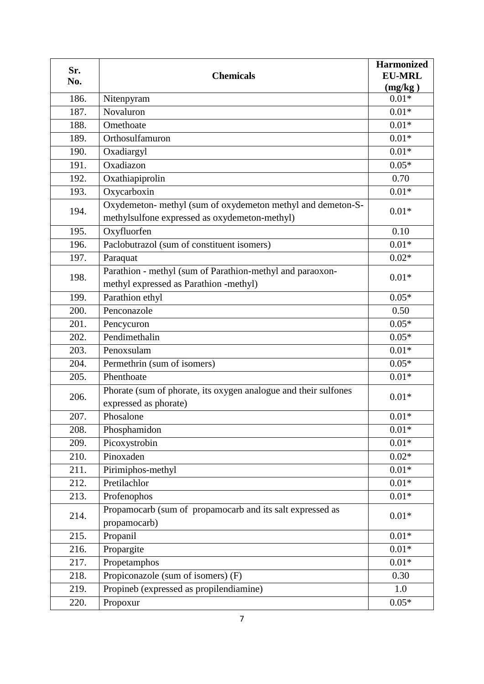| Sr.<br>No. | <b>Chemicals</b>                                                                                             | <b>Harmonized</b><br><b>EU-MRL</b><br>(mg/kg) |
|------------|--------------------------------------------------------------------------------------------------------------|-----------------------------------------------|
| 186.       | Nitenpyram                                                                                                   | $0.01*$                                       |
| 187.       | Novaluron                                                                                                    | $0.01*$                                       |
| 188.       | Omethoate                                                                                                    | $0.01*$                                       |
| 189.       | Orthosulfamuron                                                                                              | $0.01*$                                       |
| 190.       | Oxadiargyl                                                                                                   | $0.01*$                                       |
| 191.       | Oxadiazon                                                                                                    | $0.05*$                                       |
| 192.       | Oxathiapiprolin                                                                                              | 0.70                                          |
| 193.       | Oxycarboxin                                                                                                  | $0.01*$                                       |
| 194.       | Oxydemeton- methyl (sum of oxydemeton methyl and demeton-S-<br>methylsulfone expressed as oxydemeton-methyl) | $0.01*$                                       |
| 195.       | Oxyfluorfen                                                                                                  | 0.10                                          |
| 196.       | Paclobutrazol (sum of constituent isomers)                                                                   | $0.01*$                                       |
| 197.       | Paraquat                                                                                                     | $0.02*$                                       |
| 198.       | Parathion - methyl (sum of Parathion-methyl and paraoxon-<br>methyl expressed as Parathion -methyl)          | $0.01*$                                       |
| 199.       | Parathion ethyl                                                                                              | $0.05*$                                       |
| 200.       | Penconazole                                                                                                  | 0.50                                          |
| 201.       | Pencycuron                                                                                                   | $0.05*$                                       |
| 202.       | Pendimethalin                                                                                                | $0.05*$                                       |
| 203.       | Penoxsulam                                                                                                   | $0.01*$                                       |
| 204.       | Permethrin (sum of isomers)                                                                                  | $0.05*$                                       |
| 205.       | Phenthoate                                                                                                   | $0.01*$                                       |
| 206.       | Phorate (sum of phorate, its oxygen analogue and their sulfones<br>expressed as phorate)                     | $0.01*$                                       |
| 207.       | Phosalone                                                                                                    | $0.01*$                                       |
| 208.       | Phosphamidon                                                                                                 | $0.01*$                                       |
| 209.       | Picoxystrobin                                                                                                | $0.01*$                                       |
| 210.       | Pinoxaden                                                                                                    | $0.02*$                                       |
| 211.       | Pirimiphos-methyl                                                                                            | $0.01*$                                       |
| 212.       | Pretilachlor                                                                                                 | $0.01*$                                       |
| 213.       | Profenophos                                                                                                  | $0.01*$                                       |
| 214.       | Propamocarb (sum of propamocarb and its salt expressed as<br>propamocarb)                                    | $0.01*$                                       |
| 215.       | Propanil                                                                                                     | $0.01*$                                       |
| 216.       | Propargite                                                                                                   | $0.01*$                                       |
| 217.       | Propetamphos                                                                                                 | $0.01*$                                       |
| 218.       | Propiconazole (sum of isomers) (F)                                                                           | 0.30                                          |
| 219.       | Propineb (expressed as propilendiamine)                                                                      | 1.0                                           |
| 220.       | Propoxur                                                                                                     | $0.05*$                                       |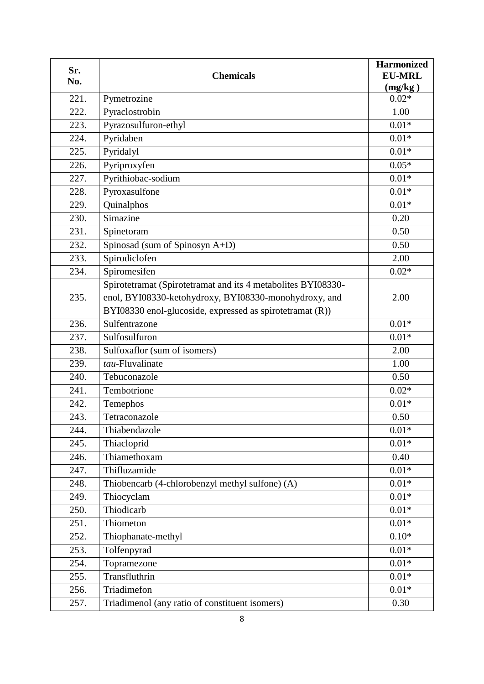| Sr.<br>No. | <b>Chemicals</b>                                                                                                      | <b>Harmonized</b><br><b>EU-MRL</b><br>(mg/kg) |
|------------|-----------------------------------------------------------------------------------------------------------------------|-----------------------------------------------|
| 221.       | Pymetrozine                                                                                                           | $0.02*$                                       |
| 222.       | Pyraclostrobin                                                                                                        | 1.00                                          |
| 223.       | Pyrazosulfuron-ethyl                                                                                                  | $0.01*$                                       |
| 224.       | Pyridaben                                                                                                             | $0.01*$                                       |
| 225.       | Pyridalyl                                                                                                             | $0.01*$                                       |
| 226.       | Pyriproxyfen                                                                                                          | $0.05*$                                       |
| 227.       | Pyrithiobac-sodium                                                                                                    | $0.01*$                                       |
| 228.       | Pyroxasulfone                                                                                                         | $0.01*$                                       |
| 229.       | Quinalphos                                                                                                            | $0.01*$                                       |
| 230.       | Simazine                                                                                                              | 0.20                                          |
| 231.       | Spinetoram                                                                                                            | 0.50                                          |
| 232.       | Spinosad (sum of Spinosyn A+D)                                                                                        | 0.50                                          |
| 233.       | Spirodiclofen                                                                                                         | 2.00                                          |
| 234.       | Spiromesifen                                                                                                          | $0.02*$                                       |
| 235.       | Spirotetramat (Spirotetramat and its 4 metabolites BYI08330-<br>enol, BYI08330-ketohydroxy, BYI08330-monohydroxy, and | 2.00                                          |
|            | BYI08330 enol-glucoside, expressed as spirotetramat (R))                                                              |                                               |
| 236.       | Sulfentrazone                                                                                                         | $0.01*$                                       |
| 237.       | Sulfosulfuron                                                                                                         | $0.01*$                                       |
| 238.       | Sulfoxaflor (sum of isomers)                                                                                          | 2.00                                          |
| 239.       | tau-Fluvalinate                                                                                                       | 1.00                                          |
| 240.       | Tebuconazole                                                                                                          | 0.50                                          |
| 241.       | Tembotrione                                                                                                           | $0.02*$                                       |
| 242.       | Temephos                                                                                                              | $0.01*$                                       |
| 243.       | Tetraconazole                                                                                                         | 0.50                                          |
| 244.       | Thiabendazole                                                                                                         | $0.01*$                                       |
| 245.       | Thiacloprid                                                                                                           | $0.01*$                                       |
| 246.       | Thiamethoxam                                                                                                          | 0.40                                          |
| 247.       | Thifluzamide                                                                                                          | $0.01*$                                       |
| 248.       | Thiobencarb (4-chlorobenzyl methyl sulfone) (A)                                                                       | $0.01*$                                       |
| 249.       | Thiocyclam                                                                                                            | $0.01*$                                       |
| 250.       | Thiodicarb                                                                                                            | $0.01\mathrm{*}$                              |
| 251.       | Thiometon                                                                                                             | $0.01*$                                       |
| 252.       | Thiophanate-methyl                                                                                                    | $0.10*$                                       |
| 253.       | Tolfenpyrad                                                                                                           | $0.01*$                                       |
| 254.       | Topramezone                                                                                                           | $0.01*$                                       |
| 255.       | Transfluthrin                                                                                                         | $0.01*$                                       |
| 256.       | Triadimefon                                                                                                           | $0.01*$                                       |
| 257.       | Triadimenol (any ratio of constituent isomers)                                                                        | 0.30                                          |